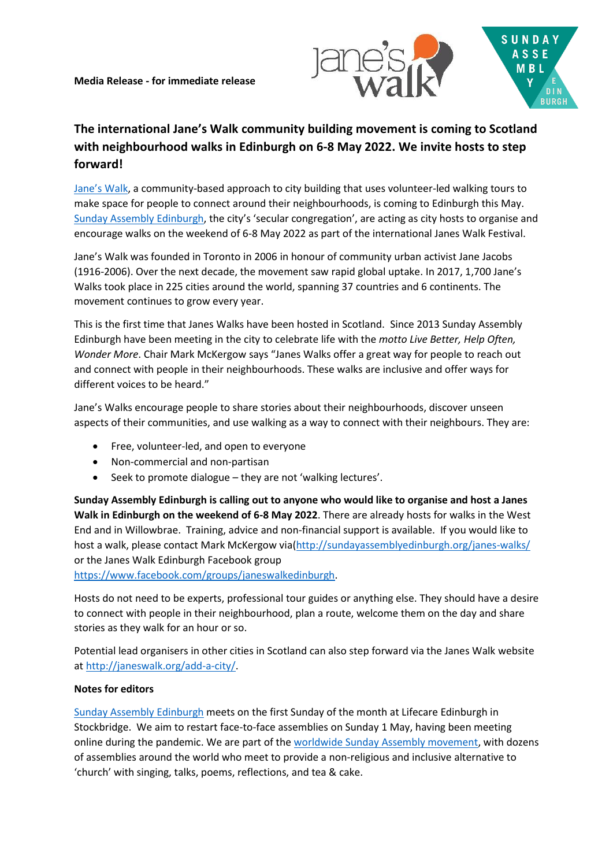

## **The international Jane's Walk community building movement is coming to Scotland with neighbourhood walks in Edinburgh on 6-8 May 2022. We invite hosts to step forward!**

[Jane's Walk](https://janeswalk.org/), a community-based approach to city building that uses volunteer-led walking tours to make space for people to connect around their neighbourhoods, is coming to Edinburgh this May. [Sunday Assembly Edinburgh](http://sundayassemblyedinburgh.org/), the city's 'secular congregation', are acting as city hosts to organise and encourage walks on the weekend of 6-8 May 2022 as part of the international Janes Walk Festival.

Jane's Walk was founded in Toronto in 2006 in honour of community urban activist Jane Jacobs (1916-2006). Over the next decade, the movement saw rapid global uptake. In 2017, 1,700 Jane's Walks took place in 225 cities around the world, spanning 37 countries and 6 continents. The movement continues to grow every year.

This is the first time that Janes Walks have been hosted in Scotland. Since 2013 Sunday Assembly Edinburgh have been meeting in the city to celebrate life with the *motto Live Better, Help Often, Wonder More*. Chair Mark McKergow says "Janes Walks offer a great way for people to reach out and connect with people in their neighbourhoods. These walks are inclusive and offer ways for different voices to be heard."

Jane's Walks encourage people to share stories about their neighbourhoods, discover unseen aspects of their communities, and use walking as a way to connect with their neighbours. They are:

- Free, volunteer-led, and open to everyone
- Non-commercial and non-partisan
- Seek to promote dialogue they are not 'walking lectures'.

**Sunday Assembly Edinburgh is calling out to anyone who would like to organise and host a Janes Walk in Edinburgh on the weekend of 6-8 May 2022**. There are already hosts for walks in the West End and in Willowbrae. Training, advice and non-financial support is available. If you would like to host a walk, please contact Mark McKergow via[\(http://sundayassemblyedinburgh.org/janes-walks/](http://sundayassemblyedinburgh.org/janes-walks/) or the Janes Walk Edinburgh Facebook group

[https://www.facebook.com/groups/janeswalkedinburgh.](https://www.facebook.com/groups/janeswalkedinburgh)

Hosts do not need to be experts, professional tour guides or anything else. They should have a desire to connect with people in their neighbourhood, plan a route, welcome them on the day and share stories as they walk for an hour or so.

Potential lead organisers in other cities in Scotland can also step forward via the Janes Walk website a[t http://janeswalk.org/add-a-city/.](http://janeswalk.org/add-a-city/)

## **Notes for editors**

[Sunday Assembly Edinburgh](http://sundayassemblyedinburgh.org/) meets on the first Sunday of the month at Lifecare Edinburgh in Stockbridge. We aim to restart face-to-face assemblies on Sunday 1 May, having been meeting online during the pandemic. We are part of the [worldwide Sunday Assembly movement,](http://sundayassembly.online/) with dozens of assemblies around the world who meet to provide a non-religious and inclusive alternative to 'church' with singing, talks, poems, reflections, and tea & cake.